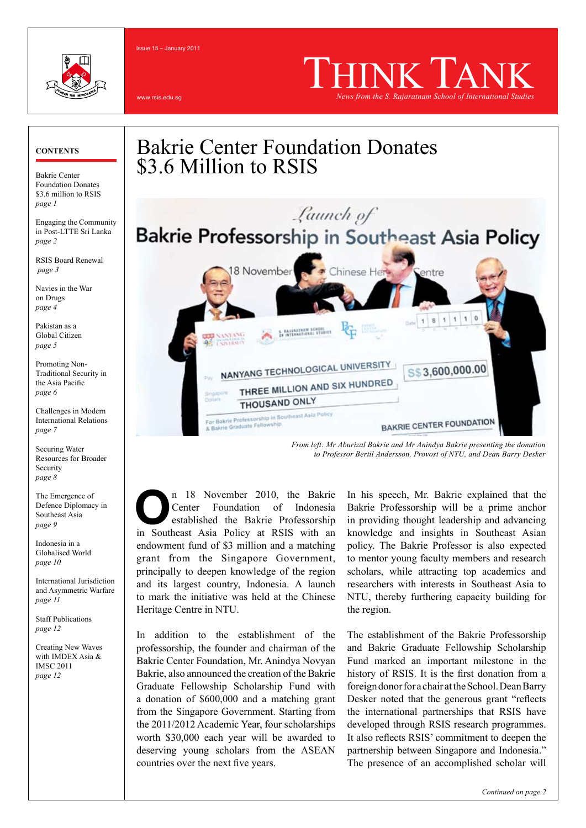

Issue 15 – January 2011

wreie adu.ed

# THINK TANK *News from the S. Rajaratnam School of International Studies*

Bakrie Center Foundation Donates \$3.6 million to RSIS *page 1*

Engaging the Community in Post-LTTE Sri Lanka *page 2*

RSIS Board Renewal *page 3*

Navies in the War on Drugs *page 4*

Pakistan as a Global Citizen *page 5*

Promoting Non-Traditional Security in the Asia Pacific *page 6*

Challenges in Modern International Relations *page 7*

Securing Water Resources for Broader Security *page 8*

The Emergence of Defence Diplomacy in Southeast Asia *page 9*

Indonesia in a Globalised World *page 10*

International Jurisdiction and Asymmetric Warfare *page 11*

Staff Publications *page 12*

Creating New Waves with IMDEX Asia & IMSC 2011 *page 12*





*From left: Mr Aburizal Bakrie and Mr Anindya Bakrie presenting the donation to Professor Bertil Andersson, Provost of NTU, and Dean Barry Desker*

n 18 November 2010, the Bakrie Center Foundation of Indonesia established the Bakrie Professorship **n** 18 November 2010, the Bakrie<br>Center Foundation of Indonesia<br>established the Bakrie Professorship<br>in Southeast Asia Policy at RSIS with an endowment fund of \$3 million and a matching grant from the Singapore Government, principally to deepen knowledge of the region and its largest country, Indonesia. A launch to mark the initiative was held at the Chinese Heritage Centre in NTU.

In addition to the establishment of the professorship, the founder and chairman of the Bakrie Center Foundation, Mr. Anindya Novyan Bakrie, also announced the creation of the Bakrie Graduate Fellowship Scholarship Fund with a donation of \$600,000 and a matching grant from the Singapore Government. Starting from the 2011/2012 Academic Year, four scholarships worth \$30,000 each year will be awarded to deserving young scholars from the ASEAN countries over the next five years.

In his speech, Mr. Bakrie explained that the Bakrie Professorship will be a prime anchor in providing thought leadership and advancing knowledge and insights in Southeast Asian policy. The Bakrie Professor is also expected to mentor young faculty members and research scholars, while attracting top academics and researchers with interests in Southeast Asia to NTU, thereby furthering capacity building for the region.

The establishment of the Bakrie Professorship and Bakrie Graduate Fellowship Scholarship Fund marked an important milestone in the history of RSIS. It is the first donation from a foreign donor for a chair at the School. Dean Barry Desker noted that the generous grant "reflects the international partnerships that RSIS have developed through RSIS research programmes. It also reflects RSIS' commitment to deepen the partnership between Singapore and Indonesia." The presence of an accomplished scholar will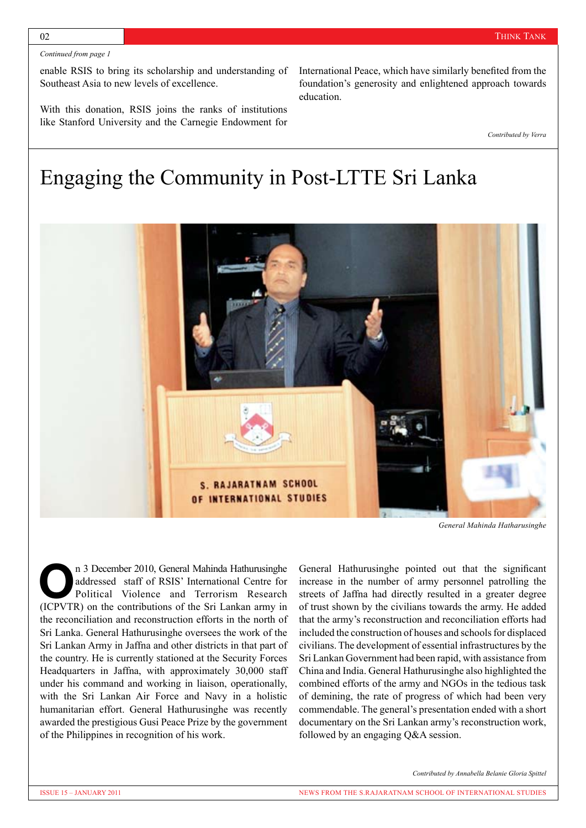enable RSIS to bring its scholarship and understanding of Southeast Asia to new levels of excellence.

With this donation, RSIS joins the ranks of institutions like Stanford University and the Carnegie Endowment for International Peace, which have similarly benefited from the foundation's generosity and enlightened approach towards education.

*Contributed by Verra*

### Engaging the Community in Post-LTTE Sri Lanka



*General Mahinda Hatharusinghe*

n 3 December 2010, General Mahinda Hathurusinghe addressed staff of RSIS' International Centre for Political Violence and Terrorism Research **n** 3 December 2010, General Mahinda Hathurusinghe addressed staff of RSIS' International Centre for Political Violence and Terrorism Research (ICPVTR) on the contributions of the Sri Lankan army in the reconciliation and reconstruction efforts in the north of Sri Lanka. General Hathurusinghe oversees the work of the Sri Lankan Army in Jaffna and other districts in that part of the country. He is currently stationed at the Security Forces Headquarters in Jaffna, with approximately 30,000 staff under his command and working in liaison, operationally, with the Sri Lankan Air Force and Navy in a holistic humanitarian effort. General Hathurusinghe was recently awarded the prestigious Gusi Peace Prize by the government of the Philippines in recognition of his work.

General Hathurusinghe pointed out that the significant increase in the number of army personnel patrolling the streets of Jaffna had directly resulted in a greater degree of trust shown by the civilians towards the army. He added that the army's reconstruction and reconciliation efforts had included the construction of houses and schools for displaced civilians. The development of essential infrastructures by the Sri Lankan Government had been rapid, with assistance from China and India. General Hathurusinghe also highlighted the combined efforts of the army and NGOs in the tedious task of demining, the rate of progress of which had been very commendable. The general's presentation ended with a short documentary on the Sri Lankan army's reconstruction work, followed by an engaging Q&A session.

*Contributed by Annabella Belanie Gloria Spittel*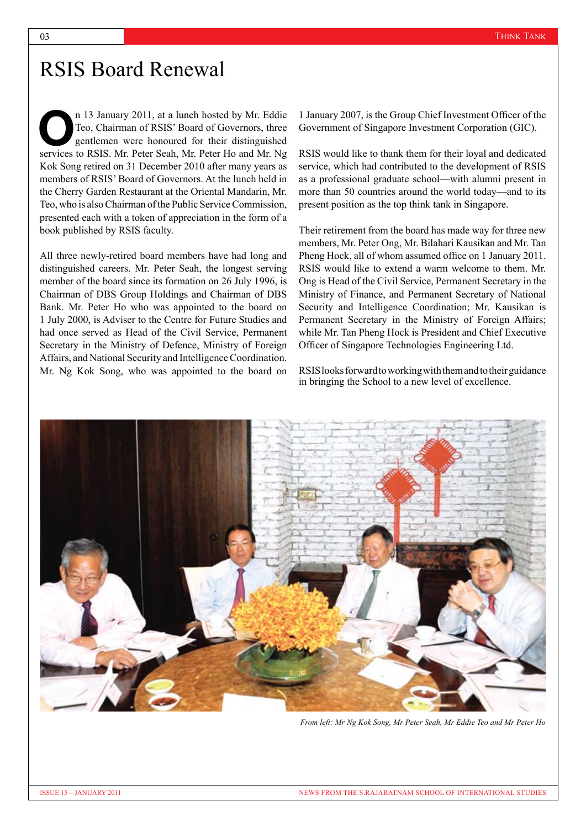### RSIS Board Renewal

n 13 January 2011, at a lunch hosted by Mr. Eddie Teo, Chairman of RSIS' Board of Governors, three gentlemen were honoured for their distinguished n 13 January 2011, at a lunch hosted by Mr. Eddie Teo, Chairman of RSIS' Board of Governors, three gentlemen were honoured for their distinguished services to RSIS. Mr. Peter Seah, Mr. Peter Ho and Mr. Ng Kok Song retired on 31 December 2010 after many years as members of RSIS' Board of Governors. At the lunch held in the Cherry Garden Restaurant at the Oriental Mandarin, Mr. Teo, who is also Chairman of the Public Service Commission, presented each with a token of appreciation in the form of a book published by RSIS faculty.

All three newly-retired board members have had long and distinguished careers. Mr. Peter Seah, the longest serving member of the board since its formation on 26 July 1996, is Chairman of DBS Group Holdings and Chairman of DBS Bank. Mr. Peter Ho who was appointed to the board on 1 July 2000, is Adviser to the Centre for Future Studies and had once served as Head of the Civil Service, Permanent Secretary in the Ministry of Defence, Ministry of Foreign Affairs, and National Security and Intelligence Coordination. Mr. Ng Kok Song, who was appointed to the board on

1 January 2007, is the Group Chief Investment Officer of the Government of Singapore Investment Corporation (GIC).

RSIS would like to thank them for their loyal and dedicated service, which had contributed to the development of RSIS as a professional graduate school—with alumni present in more than 50 countries around the world today—and to its present position as the top think tank in Singapore.

Their retirement from the board has made way for three new members, Mr. Peter Ong, Mr. Bilahari Kausikan and Mr. Tan Pheng Hock, all of whom assumed office on 1 January 2011. RSIS would like to extend a warm welcome to them. Mr. Ong is Head of the Civil Service, Permanent Secretary in the Ministry of Finance, and Permanent Secretary of National Security and Intelligence Coordination; Mr. Kausikan is Permanent Secretary in the Ministry of Foreign Affairs; while Mr. Tan Pheng Hock is President and Chief Executive Officer of Singapore Technologies Engineering Ltd.

RSIS looks forward to working with them and to their guidance in bringing the School to a new level of excellence.



*From left: Mr Ng Kok Song, Mr Peter Seah, Mr Eddie Teo and Mr Peter Ho*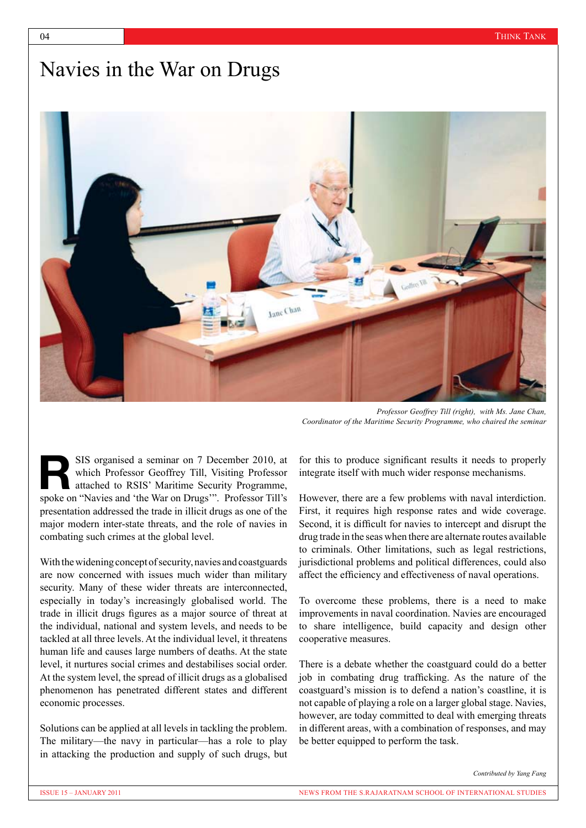### Navies in the War on Drugs



*Professor Geoffrey Till (right), with Ms. Jane Chan, Coordinator of the Maritime Security Programme, who chaired the seminar*

SIS organised a seminar on 7 December 2010, at which Professor Geoffrey Till, Visiting Professor attached to RSIS' Maritime Security Programme, SIS organised a seminar on 7 December 2010, at which Professor Geoffrey Till, Visiting Professor attached to RSIS' Maritime Security Programme, spoke on "Navies and 'the War on Drugs'". Professor Till's presentation addressed the trade in illicit drugs as one of the major modern inter-state threats, and the role of navies in combating such crimes at the global level.

With the widening concept of security, navies and coastguards are now concerned with issues much wider than military security. Many of these wider threats are interconnected. especially in today's increasingly globalised world. The trade in illicit drugs figures as a major source of threat at the individual, national and system levels, and needs to be tackled at all three levels. At the individual level, it threatens human life and causes large numbers of deaths. At the state level, it nurtures social crimes and destabilises social order. At the system level, the spread of illicit drugs as a globalised phenomenon has penetrated different states and different economic processes.

Solutions can be applied at all levels in tackling the problem. The military—the navy in particular—has a role to play in attacking the production and supply of such drugs, but for this to produce significant results it needs to properly integrate itself with much wider response mechanisms.

However, there are a few problems with naval interdiction. First, it requires high response rates and wide coverage. Second, it is difficult for navies to intercept and disrupt the drug trade in the seas when there are alternate routes available to criminals. Other limitations, such as legal restrictions, jurisdictional problems and political differences, could also affect the efficiency and effectiveness of naval operations.

To overcome these problems, there is a need to make improvements in naval coordination. Navies are encouraged to share intelligence, build capacity and design other cooperative measures.

There is a debate whether the coastguard could do a better job in combating drug trafficking. As the nature of the coastguard's mission is to defend a nation's coastline, it is not capable of playing a role on a larger global stage. Navies, however, are today committed to deal with emerging threats in different areas, with a combination of responses, and may be better equipped to perform the task.

*Contributed by Yang Fang*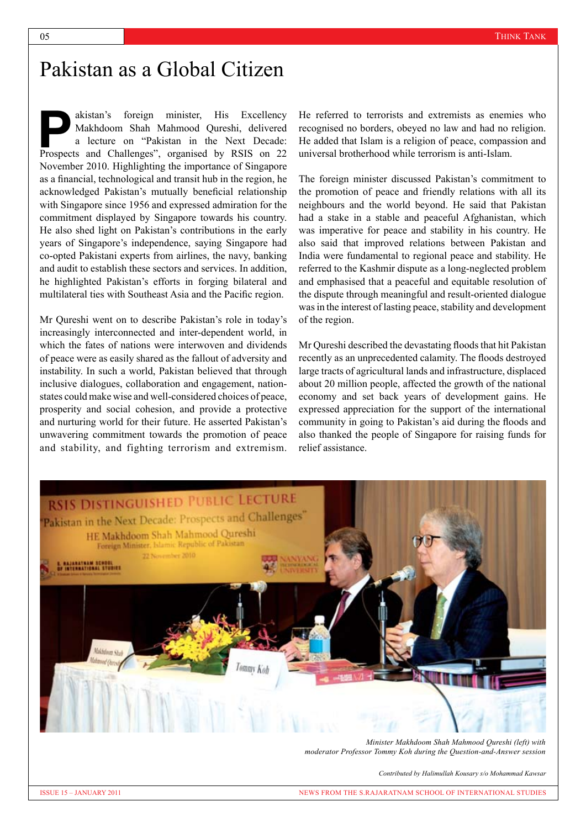### Pakistan as a Global Citizen

akistan's foreign minister, His Excellency Makhdoom Shah Mahmood Qureshi, delivered a lecture on "Pakistan in the Next Decade: akistan's foreign minister, His Excellency<br>Makhdoom Shah Mahmood Qureshi, delivered<br>a lecture on "Pakistan in the Next Decade:<br>Prospects and Challenges", organised by RSIS on 22 November 2010. Highlighting the importance of Singapore as a financial, technological and transit hub in the region, he acknowledged Pakistan's mutually beneficial relationship with Singapore since 1956 and expressed admiration for the commitment displayed by Singapore towards his country. He also shed light on Pakistan's contributions in the early years of Singapore's independence, saying Singapore had co-opted Pakistani experts from airlines, the navy, banking and audit to establish these sectors and services. In addition, he highlighted Pakistan's efforts in forging bilateral and multilateral ties with Southeast Asia and the Pacific region.

Mr Qureshi went on to describe Pakistan's role in today's increasingly interconnected and inter-dependent world, in which the fates of nations were interwoven and dividends of peace were as easily shared as the fallout of adversity and instability. In such a world, Pakistan believed that through inclusive dialogues, collaboration and engagement, nationstates could make wise and well-considered choices of peace, prosperity and social cohesion, and provide a protective and nurturing world for their future. He asserted Pakistan's unwavering commitment towards the promotion of peace and stability, and fighting terrorism and extremism.

He referred to terrorists and extremists as enemies who recognised no borders, obeyed no law and had no religion. He added that Islam is a religion of peace, compassion and universal brotherhood while terrorism is anti-Islam.

The foreign minister discussed Pakistan's commitment to the promotion of peace and friendly relations with all its neighbours and the world beyond. He said that Pakistan had a stake in a stable and peaceful Afghanistan, which was imperative for peace and stability in his country. He also said that improved relations between Pakistan and India were fundamental to regional peace and stability. He referred to the Kashmir dispute as a long-neglected problem and emphasised that a peaceful and equitable resolution of the dispute through meaningful and result-oriented dialogue was in the interest of lasting peace, stability and development of the region.

Mr Qureshi described the devastating floods that hit Pakistan recently as an unprecedented calamity. The floods destroyed large tracts of agricultural lands and infrastructure, displaced about 20 million people, affected the growth of the national economy and set back years of development gains. He expressed appreciation for the support of the international community in going to Pakistan's aid during the floods and also thanked the people of Singapore for raising funds for relief assistance.



*Minister Makhdoom Shah Mahmood Qureshi (left) with moderator Professor Tommy Koh during the Question-and-Answer session*

*Contributed by Halimullah Kousary s/o Mohammad Kawsar*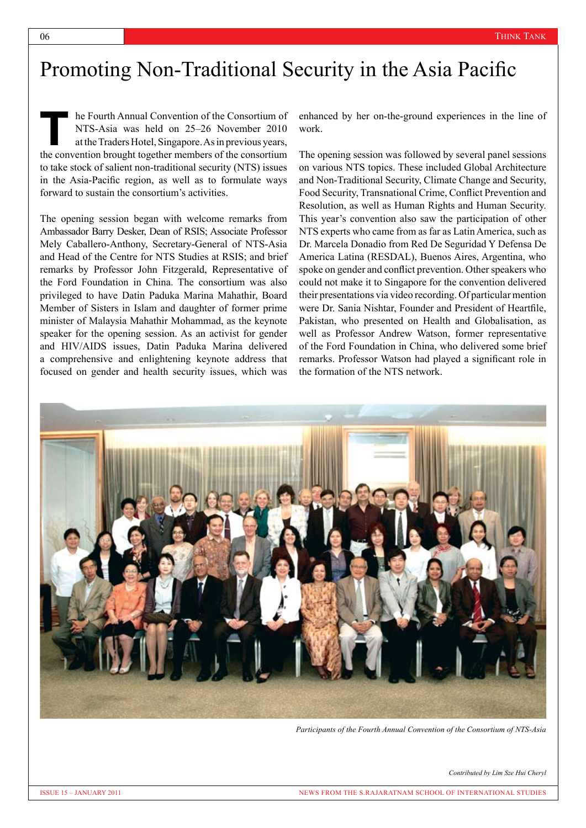### Promoting Non-Traditional Security in the Asia Pacific

he Fourth Annual Convention of the Consortium of NTS-Asia was held on 25–26 November 2010 at the Traders Hotel, Singapore. As in previous years, the convention brought together members of the consortium to take stock of salient non-traditional security (NTS) issues in the Asia-Pacific region, as well as to formulate ways forward to sustain the consortium's activities.  $\frac{1}{\sqrt{2}}$ 

The opening session began with welcome remarks from Ambassador Barry Desker, Dean of RSIS; Associate Professor Mely Caballero-Anthony, Secretary-General of NTS-Asia and Head of the Centre for NTS Studies at RSIS; and brief remarks by Professor John Fitzgerald, Representative of the Ford Foundation in China. The consortium was also privileged to have Datin Paduka Marina Mahathir, Board Member of Sisters in Islam and daughter of former prime minister of Malaysia Mahathir Mohammad, as the keynote speaker for the opening session. As an activist for gender and HIV/AIDS issues, Datin Paduka Marina delivered a comprehensive and enlightening keynote address that focused on gender and health security issues, which was

enhanced by her on-the-ground experiences in the line of work.

The opening session was followed by several panel sessions on various NTS topics. These included Global Architecture and Non-Traditional Security, Climate Change and Security, Food Security, Transnational Crime, Conflict Prevention and Resolution, as well as Human Rights and Human Security. This year's convention also saw the participation of other NTS experts who came from as far as Latin America, such as Dr. Marcela Donadio from Red De Seguridad Y Defensa De America Latina (RESDAL), Buenos Aires, Argentina, who spoke on gender and conflict prevention. Other speakers who could not make it to Singapore for the convention delivered their presentations via video recording. Of particular mention were Dr. Sania Nishtar, Founder and President of Heartfile, Pakistan, who presented on Health and Globalisation, as well as Professor Andrew Watson, former representative of the Ford Foundation in China, who delivered some brief remarks. Professor Watson had played a significant role in the formation of the NTS network.



*Participants of the Fourth Annual Convention of the Consortium of NTS-Asia*

*Contributed by Lim Sze Hui Cheryl*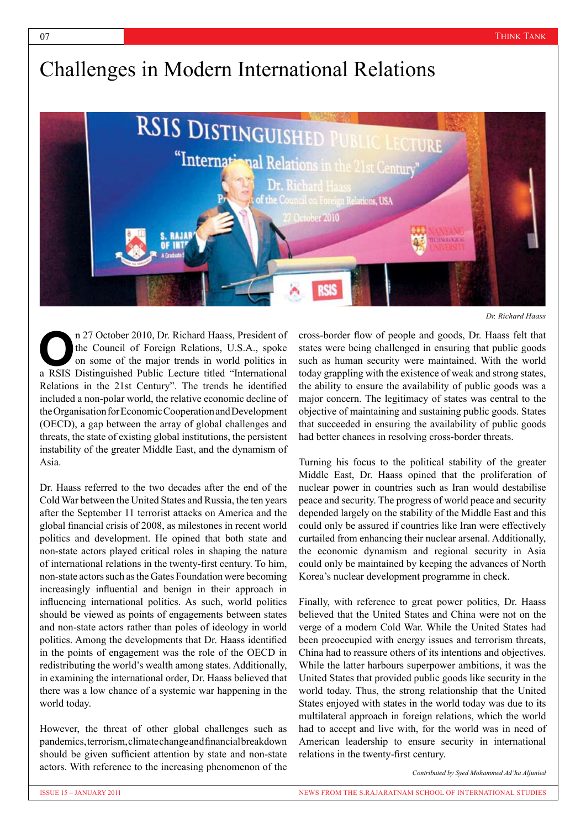# Challenges in Modern International Relations



*Dr. Richard Haass*

n 27 October 2010, Dr. Richard Haass, President of the Council of Foreign Relations, U.S.A., spoke on some of the major trends in world politics in **a** RSIS Distinguished Public Lecture titled "International a RSIS Distinguished Public Lecture titled "International Relations in the 21st Century". The trends he identified included a non-polar world, the relative economic decline of the Organisation for Economic Cooperation and Development (OECD), a gap between the array of global challenges and threats, the state of existing global institutions, the persistent instability of the greater Middle East, and the dynamism of Asia.

Dr. Haass referred to the two decades after the end of the Cold War between the United States and Russia, the ten years after the September 11 terrorist attacks on America and the global financial crisis of 2008, as milestones in recent world politics and development. He opined that both state and non-state actors played critical roles in shaping the nature of international relations in the twenty-first century. To him, non-state actors such as the Gates Foundation were becoming increasingly influential and benign in their approach in influencing international politics. As such, world politics should be viewed as points of engagements between states and non-state actors rather than poles of ideology in world politics. Among the developments that Dr. Haass identified in the points of engagement was the role of the OECD in redistributing the world's wealth among states. Additionally, in examining the international order, Dr. Haass believed that there was a low chance of a systemic war happening in the world today.

However, the threat of other global challenges such as pandemics, terrorism, climate change and financial breakdown should be given sufficient attention by state and non-state actors. With reference to the increasing phenomenon of the

cross-border flow of people and goods, Dr. Haass felt that states were being challenged in ensuring that public goods such as human security were maintained. With the world today grappling with the existence of weak and strong states, the ability to ensure the availability of public goods was a major concern. The legitimacy of states was central to the objective of maintaining and sustaining public goods. States that succeeded in ensuring the availability of public goods had better chances in resolving cross-border threats.

Turning his focus to the political stability of the greater Middle East, Dr. Haass opined that the proliferation of nuclear power in countries such as Iran would destabilise peace and security. The progress of world peace and security depended largely on the stability of the Middle East and this could only be assured if countries like Iran were effectively curtailed from enhancing their nuclear arsenal. Additionally, the economic dynamism and regional security in Asia could only be maintained by keeping the advances of North Korea's nuclear development programme in check.

Finally, with reference to great power politics, Dr. Haass believed that the United States and China were not on the verge of a modern Cold War. While the United States had been preoccupied with energy issues and terrorism threats, China had to reassure others of its intentions and objectives. While the latter harbours superpower ambitions, it was the United States that provided public goods like security in the world today. Thus, the strong relationship that the United States enjoyed with states in the world today was due to its multilateral approach in foreign relations, which the world had to accept and live with, for the world was in need of American leadership to ensure security in international relations in the twenty-first century.

*Contributed by Syed Mohammed Ad'ha Aljunied*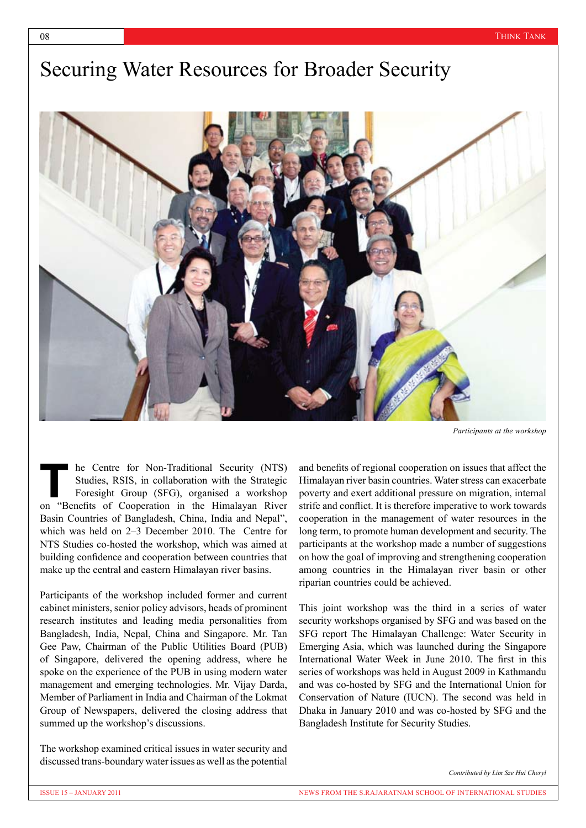## Securing Water Resources for Broader Security



*Participants at the workshop*

he Centre for Non-Traditional Security (NTS) Studies, RSIS, in collaboration with the Strategic Foresight Group (SFG), organised a workshop **Example 18 Exercise Studies, RSIS, in collaboration with the Strategic Foresight Group (SFG), organised a workshop on "Benefits of Cooperation in the Himalayan River** Basin Countries of Bangladesh, China, India and Nepal", which was held on 2–3 December 2010. The Centre for NTS Studies co-hosted the workshop, which was aimed at building confidence and cooperation between countries that make up the central and eastern Himalayan river basins.

Participants of the workshop included former and current cabinet ministers, senior policy advisors, heads of prominent research institutes and leading media personalities from Bangladesh, India, Nepal, China and Singapore. Mr. Tan Gee Paw, Chairman of the Public Utilities Board (PUB) of Singapore, delivered the opening address, where he spoke on the experience of the PUB in using modern water management and emerging technologies. Mr. Vijay Darda, Member of Parliament in India and Chairman of the Lokmat Group of Newspapers, delivered the closing address that summed up the workshop's discussions.

The workshop examined critical issues in water security and discussed trans-boundary water issues as well as the potential and benefits of regional cooperation on issues that affect the Himalayan river basin countries. Water stress can exacerbate poverty and exert additional pressure on migration, internal strife and conflict. It is therefore imperative to work towards cooperation in the management of water resources in the long term, to promote human development and security. The participants at the workshop made a number of suggestions on how the goal of improving and strengthening cooperation among countries in the Himalayan river basin or other riparian countries could be achieved.

This joint workshop was the third in a series of water security workshops organised by SFG and was based on the SFG report The Himalayan Challenge: Water Security in Emerging Asia, which was launched during the Singapore International Water Week in June 2010. The first in this series of workshops was held in August 2009 in Kathmandu and was co-hosted by SFG and the International Union for Conservation of Nature (IUCN). The second was held in Dhaka in January 2010 and was co-hosted by SFG and the Bangladesh Institute for Security Studies.

*Contributed by Lim Sze Hui Cheryl*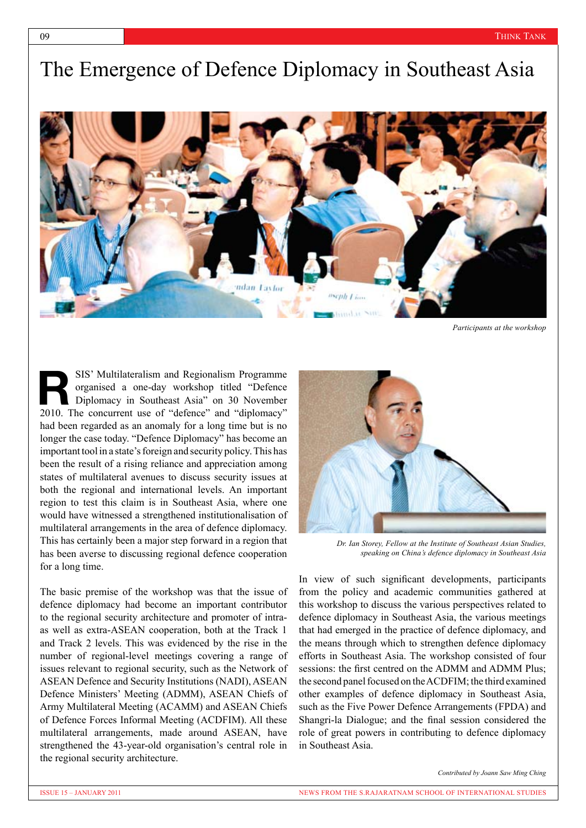## The Emergence of Defence Diplomacy in Southeast Asia



*Participants at the workshop*

SIS' Multilateralism and Regionalism Programme organised a one-day workshop titled "Defence Diplomacy in Southeast Asia" on 30 November **EXECUTE:** SIS' Multilateralism and Regionalism Programme organised a one-day workshop titled "Defence" Diplomacy in Southeast Asia" on 30 November 2010. The concurrent use of "defence" and "diplomacy" had been regarded as an anomaly for a long time but is no longer the case today. "Defence Diplomacy" has become an important tool in a state's foreign and security policy. This has been the result of a rising reliance and appreciation among states of multilateral avenues to discuss security issues at both the regional and international levels. An important region to test this claim is in Southeast Asia, where one would have witnessed a strengthened institutionalisation of multilateral arrangements in the area of defence diplomacy. This has certainly been a major step forward in a region that has been averse to discussing regional defence cooperation for a long time.

The basic premise of the workshop was that the issue of defence diplomacy had become an important contributor to the regional security architecture and promoter of intraas well as extra-ASEAN cooperation, both at the Track 1 and Track 2 levels. This was evidenced by the rise in the number of regional-level meetings covering a range of issues relevant to regional security, such as the Network of ASEAN Defence and Security Institutions (NADI), ASEAN Defence Ministers' Meeting (ADMM), ASEAN Chiefs of Army Multilateral Meeting (ACAMM) and ASEAN Chiefs of Defence Forces Informal Meeting (ACDFIM). All these multilateral arrangements, made around ASEAN, have strengthened the 43-year-old organisation's central role in the regional security architecture.



*Dr. Ian Storey, Fellow at the Institute of Southeast Asian Studies, speaking on China's defence diplomacy in Southeast Asia*

In view of such significant developments, participants from the policy and academic communities gathered at this workshop to discuss the various perspectives related to defence diplomacy in Southeast Asia, the various meetings that had emerged in the practice of defence diplomacy, and the means through which to strengthen defence diplomacy efforts in Southeast Asia. The workshop consisted of four sessions: the first centred on the ADMM and ADMM Plus; the second panel focused on the ACDFIM; the third examined other examples of defence diplomacy in Southeast Asia, such as the Five Power Defence Arrangements (FPDA) and Shangri-la Dialogue; and the final session considered the role of great powers in contributing to defence diplomacy in Southeast Asia.

*Contributed by Joann Saw Ming Ching*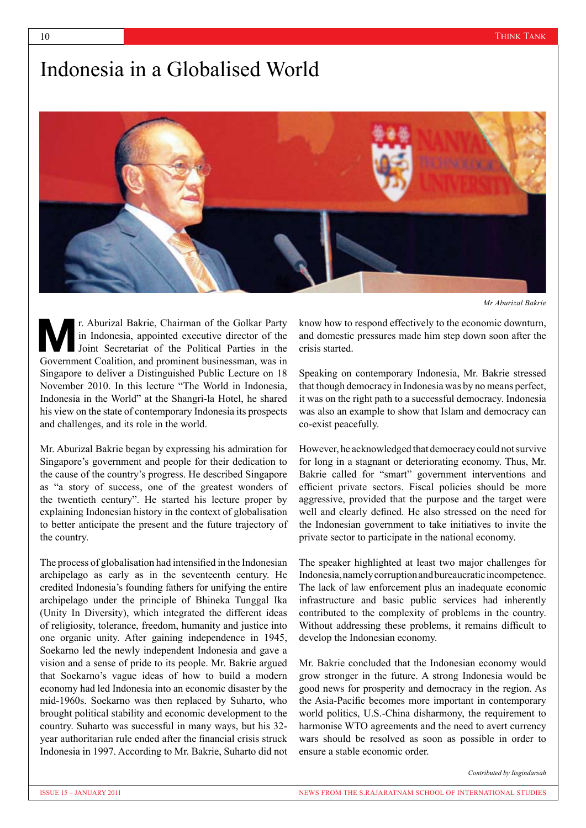## Indonesia in a Globalised World



*Mr Aburizal Bakrie*

r. Aburizal Bakrie, Chairman of the Golkar Party in Indonesia, appointed executive director of the Joint Secretariat of the Political Parties in the **Manufacturist** Chairman of the Golkar Party in Indonesia, appointed executive director of the Joint Secretariat of the Political Parties in the Government Coalition, and prominent businessman, was in Singapore to deliver a Distinguished Public Lecture on 18 November 2010. In this lecture "The World in Indonesia, Indonesia in the World" at the Shangri-la Hotel, he shared his view on the state of contemporary Indonesia its prospects and challenges, and its role in the world.

Mr. Aburizal Bakrie began by expressing his admiration for Singapore's government and people for their dedication to the cause of the country's progress. He described Singapore as "a story of success, one of the greatest wonders of the twentieth century". He started his lecture proper by explaining Indonesian history in the context of globalisation to better anticipate the present and the future trajectory of the country.

The process of globalisation had intensified in the Indonesian archipelago as early as in the seventeenth century. He credited Indonesia's founding fathers for unifying the entire archipelago under the principle of Bhineka Tunggal Ika (Unity In Diversity), which integrated the different ideas of religiosity, tolerance, freedom, humanity and justice into one organic unity. After gaining independence in 1945, Soekarno led the newly independent Indonesia and gave a vision and a sense of pride to its people. Mr. Bakrie argued that Soekarno's vague ideas of how to build a modern economy had led Indonesia into an economic disaster by the mid-1960s. Soekarno was then replaced by Suharto, who brought political stability and economic development to the country. Suharto was successful in many ways, but his 32 year authoritarian rule ended after the financial crisis struck Indonesia in 1997. According to Mr. Bakrie, Suharto did not know how to respond effectively to the economic downturn, and domestic pressures made him step down soon after the crisis started.

Speaking on contemporary Indonesia, Mr. Bakrie stressed that though democracy in Indonesia was by no means perfect, it was on the right path to a successful democracy. Indonesia was also an example to show that Islam and democracy can co-exist peacefully.

However, he acknowledged that democracy could not survive for long in a stagnant or deteriorating economy. Thus, Mr. Bakrie called for "smart" government interventions and efficient private sectors. Fiscal policies should be more aggressive, provided that the purpose and the target were well and clearly defined. He also stressed on the need for the Indonesian government to take initiatives to invite the private sector to participate in the national economy.

The speaker highlighted at least two major challenges for Indonesia, namely corruption and bureaucratic incompetence. The lack of law enforcement plus an inadequate economic infrastructure and basic public services had inherently contributed to the complexity of problems in the country. Without addressing these problems, it remains difficult to develop the Indonesian economy.

Mr. Bakrie concluded that the Indonesian economy would grow stronger in the future. A strong Indonesia would be good news for prosperity and democracy in the region. As the Asia-Pacific becomes more important in contemporary world politics, U.S.-China disharmony, the requirement to harmonise WTO agreements and the need to avert currency wars should be resolved as soon as possible in order to ensure a stable economic order.

*Contributed by Iisgindarsah*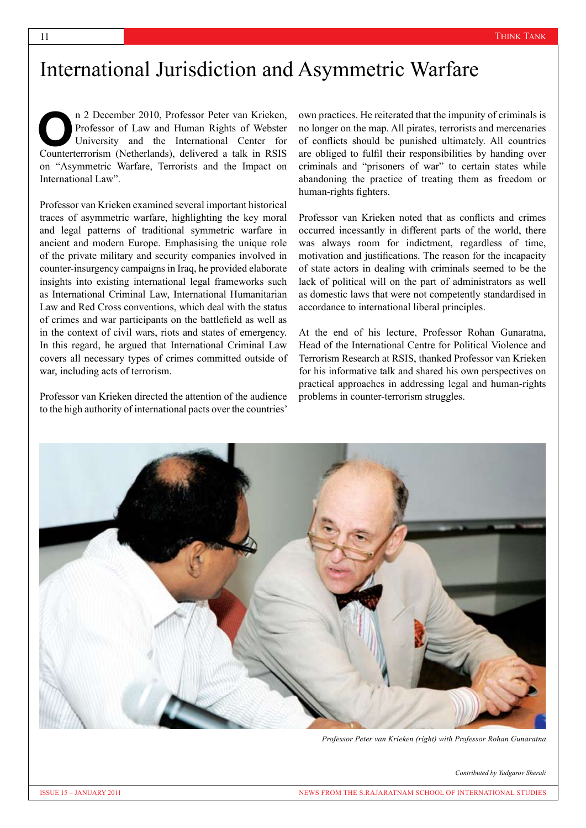### International Jurisdiction and Asymmetric Warfare

n 2 December 2010, Professor Peter van Krieken, Professor of Law and Human Rights of Webster University and the International Center for n 2 December 2010, Professor Peter van Krieken, Professor of Law and Human Rights of Webster University and the International Center for Counterterrorism (Netherlands), delivered a talk in RSIS on "Asymmetric Warfare, Terrorists and the Impact on International Law".

Professor van Krieken examined several important historical traces of asymmetric warfare, highlighting the key moral and legal patterns of traditional symmetric warfare in ancient and modern Europe. Emphasising the unique role of the private military and security companies involved in counter-insurgency campaigns in Iraq, he provided elaborate insights into existing international legal frameworks such as International Criminal Law, International Humanitarian Law and Red Cross conventions, which deal with the status of crimes and war participants on the battlefield as well as in the context of civil wars, riots and states of emergency. In this regard, he argued that International Criminal Law covers all necessary types of crimes committed outside of war, including acts of terrorism.

Professor van Krieken directed the attention of the audience to the high authority of international pacts over the countries'

own practices. He reiterated that the impunity of criminals is no longer on the map. All pirates, terrorists and mercenaries of conflicts should be punished ultimately. All countries are obliged to fulfil their responsibilities by handing over criminals and "prisoners of war" to certain states while abandoning the practice of treating them as freedom or human-rights fighters.

Professor van Krieken noted that as conflicts and crimes occurred incessantly in different parts of the world, there was always room for indictment, regardless of time, motivation and justifications. The reason for the incapacity of state actors in dealing with criminals seemed to be the lack of political will on the part of administrators as well as domestic laws that were not competently standardised in accordance to international liberal principles.

At the end of his lecture, Professor Rohan Gunaratna, Head of the International Centre for Political Violence and Terrorism Research at RSIS, thanked Professor van Krieken for his informative talk and shared his own perspectives on practical approaches in addressing legal and human-rights problems in counter-terrorism struggles.



*Professor Peter van Krieken (right) with Professor Rohan Gunaratna*

*Contributed by Yadgarov Sherali*